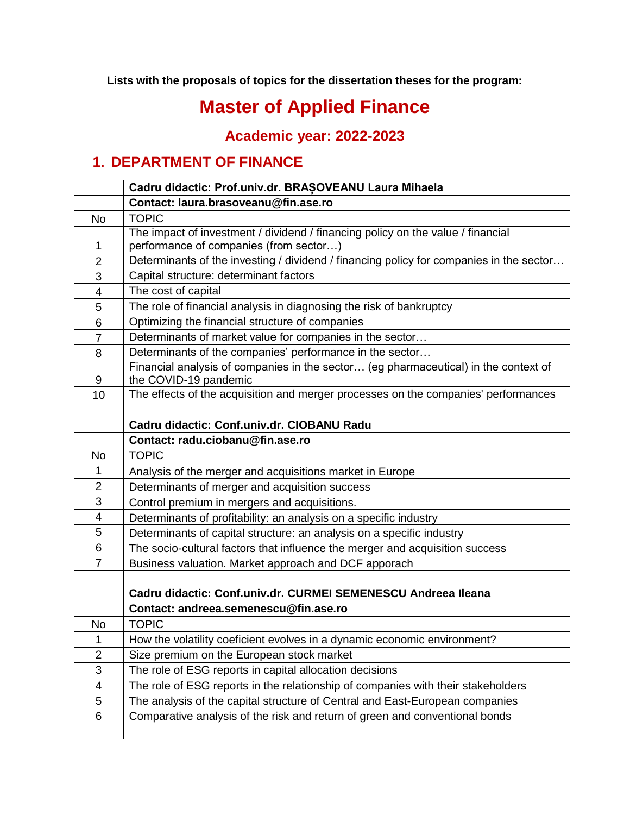**Lists with the proposals of topics for the dissertation theses for the program:** 

## **Master of Applied Finance**

**Academic year: 2022-2023**

## **1. DEPARTMENT OF FINANCE**

|                | Cadru didactic: Prof.univ.dr. BRAȘOVEANU Laura Mihaela                                                                    |  |  |
|----------------|---------------------------------------------------------------------------------------------------------------------------|--|--|
|                | Contact: laura.brasoveanu@fin.ase.ro                                                                                      |  |  |
| <b>No</b>      | <b>TOPIC</b>                                                                                                              |  |  |
| 1              | The impact of investment / dividend / financing policy on the value / financial<br>performance of companies (from sector) |  |  |
| $\overline{2}$ | Determinants of the investing / dividend / financing policy for companies in the sector                                   |  |  |
| 3              | Capital structure: determinant factors                                                                                    |  |  |
| $\overline{4}$ | The cost of capital                                                                                                       |  |  |
| 5              | The role of financial analysis in diagnosing the risk of bankruptcy                                                       |  |  |
| 6              | Optimizing the financial structure of companies                                                                           |  |  |
| $\overline{7}$ | Determinants of market value for companies in the sector                                                                  |  |  |
| 8              | Determinants of the companies' performance in the sector                                                                  |  |  |
| 9              | Financial analysis of companies in the sector (eg pharmaceutical) in the context of<br>the COVID-19 pandemic              |  |  |
| 10             | The effects of the acquisition and merger processes on the companies' performances                                        |  |  |
|                |                                                                                                                           |  |  |
|                | Cadru didactic: Conf.univ.dr. CIOBANU Radu                                                                                |  |  |
|                | Contact: radu.ciobanu@fin.ase.ro                                                                                          |  |  |
| No.            | <b>TOPIC</b>                                                                                                              |  |  |
| 1              | Analysis of the merger and acquisitions market in Europe                                                                  |  |  |
| $\overline{2}$ | Determinants of merger and acquisition success                                                                            |  |  |
| 3              | Control premium in mergers and acquisitions.                                                                              |  |  |
| 4              | Determinants of profitability: an analysis on a specific industry                                                         |  |  |
| 5              | Determinants of capital structure: an analysis on a specific industry                                                     |  |  |
| 6              | The socio-cultural factors that influence the merger and acquisition success                                              |  |  |
| $\overline{7}$ | Business valuation. Market approach and DCF apporach                                                                      |  |  |
|                |                                                                                                                           |  |  |
|                | Cadru didactic: Conf.univ.dr. CURMEI SEMENESCU Andreea Ileana                                                             |  |  |
|                | Contact: andreea.semenescu@fin.ase.ro                                                                                     |  |  |
| No             | <b>TOPIC</b>                                                                                                              |  |  |
| 1              | How the volatility coeficient evolves in a dynamic economic environment?                                                  |  |  |
| $\overline{2}$ | Size premium on the European stock market                                                                                 |  |  |
| 3              | The role of ESG reports in capital allocation decisions                                                                   |  |  |
| 4              | The role of ESG reports in the relationship of companies with their stakeholders                                          |  |  |
| 5              | The analysis of the capital structure of Central and East-European companies                                              |  |  |
| 6              | Comparative analysis of the risk and return of green and conventional bonds                                               |  |  |
|                |                                                                                                                           |  |  |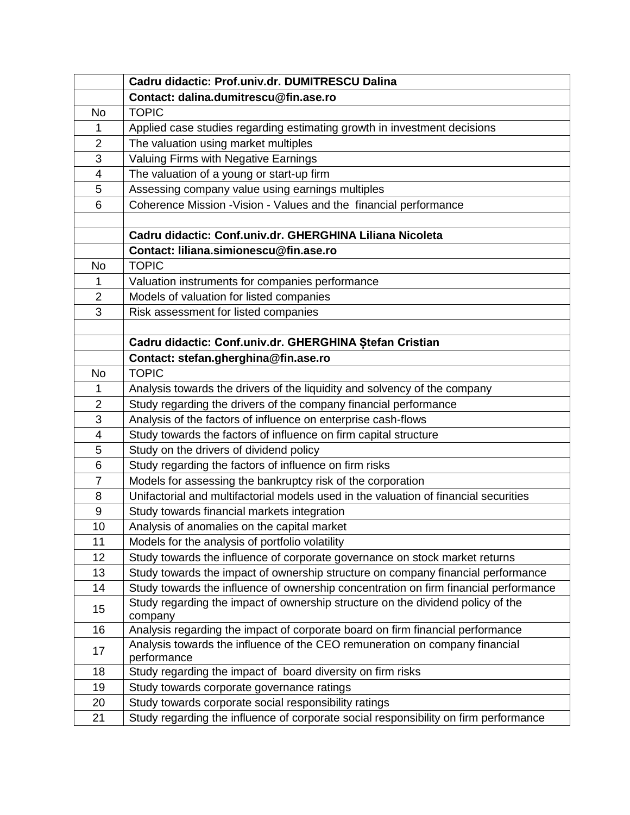|                         | Cadru didactic: Prof.univ.dr. DUMITRESCU Dalina                                            |  |  |
|-------------------------|--------------------------------------------------------------------------------------------|--|--|
|                         | Contact: dalina.dumitrescu@fin.ase.ro                                                      |  |  |
| <b>No</b>               | <b>TOPIC</b>                                                                               |  |  |
| 1                       | Applied case studies regarding estimating growth in investment decisions                   |  |  |
| $\overline{2}$          | The valuation using market multiples                                                       |  |  |
| 3                       | Valuing Firms with Negative Earnings                                                       |  |  |
| $\overline{\mathbf{4}}$ | The valuation of a young or start-up firm                                                  |  |  |
| 5                       | Assessing company value using earnings multiples                                           |  |  |
| 6                       | Coherence Mission - Vision - Values and the financial performance                          |  |  |
|                         |                                                                                            |  |  |
|                         | Cadru didactic: Conf.univ.dr. GHERGHINA Liliana Nicoleta                                   |  |  |
|                         | Contact: liliana.simionescu@fin.ase.ro                                                     |  |  |
| <b>No</b>               | <b>TOPIC</b>                                                                               |  |  |
| 1                       | Valuation instruments for companies performance                                            |  |  |
| $\overline{2}$          | Models of valuation for listed companies                                                   |  |  |
| 3                       | Risk assessment for listed companies                                                       |  |  |
|                         |                                                                                            |  |  |
|                         | Cadru didactic: Conf.univ.dr. GHERGHINA Stefan Cristian                                    |  |  |
|                         | Contact: stefan.gherghina@fin.ase.ro                                                       |  |  |
| <b>No</b>               | <b>TOPIC</b>                                                                               |  |  |
| 1                       | Analysis towards the drivers of the liquidity and solvency of the company                  |  |  |
| $\overline{2}$          | Study regarding the drivers of the company financial performance                           |  |  |
| 3                       | Analysis of the factors of influence on enterprise cash-flows                              |  |  |
| 4                       | Study towards the factors of influence on firm capital structure                           |  |  |
| 5                       | Study on the drivers of dividend policy                                                    |  |  |
| 6                       | Study regarding the factors of influence on firm risks                                     |  |  |
| $\overline{7}$          | Models for assessing the bankruptcy risk of the corporation                                |  |  |
| 8                       | Unifactorial and multifactorial models used in the valuation of financial securities       |  |  |
| 9                       | Study towards financial markets integration                                                |  |  |
| 10                      | Analysis of anomalies on the capital market                                                |  |  |
| 11                      | Models for the analysis of portfolio volatility                                            |  |  |
| 12                      | Study towards the influence of corporate governance on stock market returns                |  |  |
| 13                      | Study towards the impact of ownership structure on company financial performance           |  |  |
| 14                      | Study towards the influence of ownership concentration on firm financial performance       |  |  |
| 15                      | Study regarding the impact of ownership structure on the dividend policy of the<br>company |  |  |
| 16                      | Analysis regarding the impact of corporate board on firm financial performance             |  |  |
| 17                      | Analysis towards the influence of the CEO remuneration on company financial<br>performance |  |  |
| 18                      | Study regarding the impact of board diversity on firm risks                                |  |  |
| 19                      | Study towards corporate governance ratings                                                 |  |  |
| 20                      | Study towards corporate social responsibility ratings                                      |  |  |
| 21                      | Study regarding the influence of corporate social responsibility on firm performance       |  |  |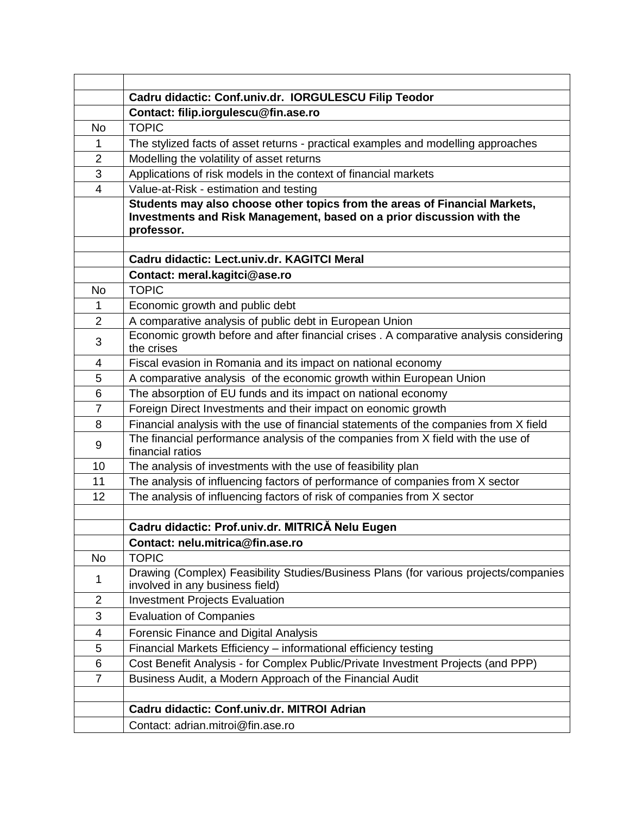|                | Cadru didactic: Conf.univ.dr. IORGULESCU Filip Teodor                                                                                               |  |  |
|----------------|-----------------------------------------------------------------------------------------------------------------------------------------------------|--|--|
|                | Contact: filip.iorgulescu@fin.ase.ro                                                                                                                |  |  |
| No             | <b>TOPIC</b>                                                                                                                                        |  |  |
| 1              | The stylized facts of asset returns - practical examples and modelling approaches                                                                   |  |  |
| $\overline{2}$ | Modelling the volatility of asset returns                                                                                                           |  |  |
| 3              | Applications of risk models in the context of financial markets                                                                                     |  |  |
| 4              | Value-at-Risk - estimation and testing                                                                                                              |  |  |
|                | Students may also choose other topics from the areas of Financial Markets,<br>Investments and Risk Management, based on a prior discussion with the |  |  |
|                | professor.                                                                                                                                          |  |  |
|                | Cadru didactic: Lect.univ.dr. KAGITCI Meral                                                                                                         |  |  |
|                | Contact: meral.kagitci@ase.ro                                                                                                                       |  |  |
| <b>No</b>      | <b>TOPIC</b>                                                                                                                                        |  |  |
| 1              | Economic growth and public debt                                                                                                                     |  |  |
| $\overline{2}$ | A comparative analysis of public debt in European Union                                                                                             |  |  |
| 3              | Economic growth before and after financial crises . A comparative analysis considering<br>the crises                                                |  |  |
| 4              | Fiscal evasion in Romania and its impact on national economy                                                                                        |  |  |
| 5              | A comparative analysis of the economic growth within European Union                                                                                 |  |  |
| 6              | The absorption of EU funds and its impact on national economy                                                                                       |  |  |
| $\overline{7}$ | Foreign Direct Investments and their impact on eonomic growth                                                                                       |  |  |
| 8              | Financial analysis with the use of financial statements of the companies from X field                                                               |  |  |
| 9              | The financial performance analysis of the companies from X field with the use of<br>financial ratios                                                |  |  |
| 10             | The analysis of investments with the use of feasibility plan                                                                                        |  |  |
| 11             | The analysis of influencing factors of performance of companies from X sector                                                                       |  |  |
| 12             | The analysis of influencing factors of risk of companies from X sector                                                                              |  |  |
|                |                                                                                                                                                     |  |  |
|                | Cadru didactic: Prof.univ.dr. MITRICĂ Nelu Eugen                                                                                                    |  |  |
|                | Contact: nelu.mitrica@fin.ase.ro                                                                                                                    |  |  |
| <b>No</b>      | <b>TOPIC</b>                                                                                                                                        |  |  |
| 1              | Drawing (Complex) Feasibility Studies/Business Plans (for various projects/companies<br>involved in any business field)                             |  |  |
| $\overline{2}$ | <b>Investment Projects Evaluation</b>                                                                                                               |  |  |
| 3              | <b>Evaluation of Companies</b>                                                                                                                      |  |  |
| 4              | Forensic Finance and Digital Analysis                                                                                                               |  |  |
| 5              | Financial Markets Efficiency - informational efficiency testing                                                                                     |  |  |
| 6              | Cost Benefit Analysis - for Complex Public/Private Investment Projects (and PPP)                                                                    |  |  |
| $\overline{7}$ | Business Audit, a Modern Approach of the Financial Audit                                                                                            |  |  |
|                |                                                                                                                                                     |  |  |
|                | Cadru didactic: Conf.univ.dr. MITROI Adrian                                                                                                         |  |  |
|                | Contact: adrian.mitroi@fin.ase.ro                                                                                                                   |  |  |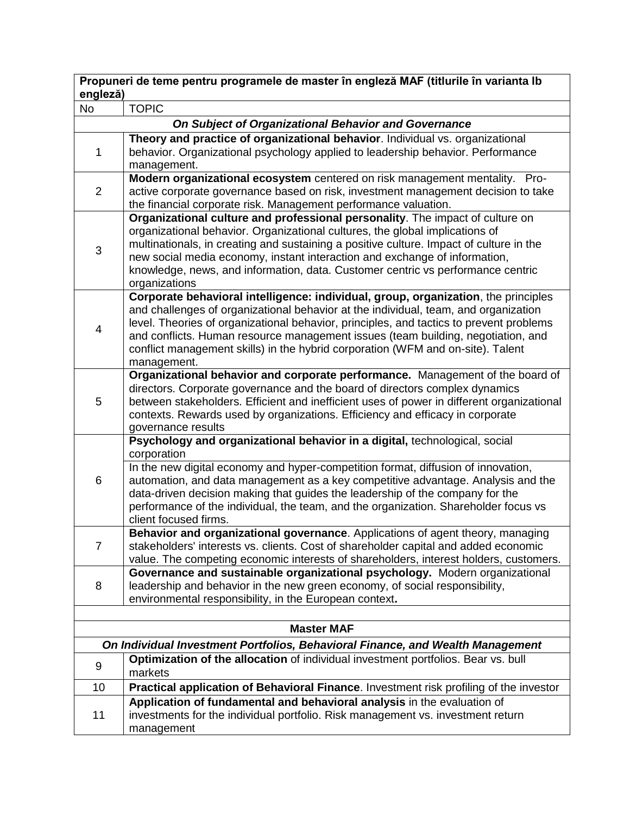| Propuneri de teme pentru programele de master în engleză MAF (titlurile în varianta lb |                                                                                                                                                                      |  |  |  |
|----------------------------------------------------------------------------------------|----------------------------------------------------------------------------------------------------------------------------------------------------------------------|--|--|--|
| engleză)<br><b>No</b>                                                                  | <b>TOPIC</b>                                                                                                                                                         |  |  |  |
|                                                                                        | On Subject of Organizational Behavior and Governance                                                                                                                 |  |  |  |
|                                                                                        | Theory and practice of organizational behavior. Individual vs. organizational                                                                                        |  |  |  |
| 1                                                                                      | behavior. Organizational psychology applied to leadership behavior. Performance                                                                                      |  |  |  |
|                                                                                        | management.                                                                                                                                                          |  |  |  |
|                                                                                        | Modern organizational ecosystem centered on risk management mentality. Pro-                                                                                          |  |  |  |
| $\overline{2}$                                                                         | active corporate governance based on risk, investment management decision to take                                                                                    |  |  |  |
|                                                                                        | the financial corporate risk. Management performance valuation.                                                                                                      |  |  |  |
|                                                                                        | Organizational culture and professional personality. The impact of culture on<br>organizational behavior. Organizational cultures, the global implications of        |  |  |  |
|                                                                                        | multinationals, in creating and sustaining a positive culture. Impact of culture in the                                                                              |  |  |  |
| 3                                                                                      | new social media economy, instant interaction and exchange of information,                                                                                           |  |  |  |
|                                                                                        | knowledge, news, and information, data. Customer centric vs performance centric                                                                                      |  |  |  |
|                                                                                        | organizations                                                                                                                                                        |  |  |  |
|                                                                                        | Corporate behavioral intelligence: individual, group, organization, the principles                                                                                   |  |  |  |
|                                                                                        | and challenges of organizational behavior at the individual, team, and organization                                                                                  |  |  |  |
| 4                                                                                      | level. Theories of organizational behavior, principles, and tactics to prevent problems                                                                              |  |  |  |
|                                                                                        | and conflicts. Human resource management issues (team building, negotiation, and                                                                                     |  |  |  |
|                                                                                        | conflict management skills) in the hybrid corporation (WFM and on-site). Talent<br>management.                                                                       |  |  |  |
|                                                                                        | Organizational behavior and corporate performance. Management of the board of                                                                                        |  |  |  |
|                                                                                        | directors. Corporate governance and the board of directors complex dynamics                                                                                          |  |  |  |
| 5                                                                                      | between stakeholders. Efficient and inefficient uses of power in different organizational                                                                            |  |  |  |
|                                                                                        | contexts. Rewards used by organizations. Efficiency and efficacy in corporate                                                                                        |  |  |  |
|                                                                                        | governance results                                                                                                                                                   |  |  |  |
|                                                                                        | Psychology and organizational behavior in a digital, technological, social<br>corporation                                                                            |  |  |  |
|                                                                                        | In the new digital economy and hyper-competition format, diffusion of innovation,                                                                                    |  |  |  |
| 6                                                                                      | automation, and data management as a key competitive advantage. Analysis and the                                                                                     |  |  |  |
|                                                                                        | data-driven decision making that guides the leadership of the company for the                                                                                        |  |  |  |
|                                                                                        | performance of the individual, the team, and the organization. Shareholder focus vs                                                                                  |  |  |  |
|                                                                                        | client focused firms.                                                                                                                                                |  |  |  |
|                                                                                        | Behavior and organizational governance. Applications of agent theory, managing                                                                                       |  |  |  |
| $\overline{7}$                                                                         | stakeholders' interests vs. clients. Cost of shareholder capital and added economic                                                                                  |  |  |  |
|                                                                                        | value. The competing economic interests of shareholders, interest holders, customers.<br>Governance and sustainable organizational psychology. Modern organizational |  |  |  |
| 8                                                                                      | leadership and behavior in the new green economy, of social responsibility,                                                                                          |  |  |  |
|                                                                                        | environmental responsibility, in the European context.                                                                                                               |  |  |  |
|                                                                                        |                                                                                                                                                                      |  |  |  |
| <b>Master MAF</b>                                                                      |                                                                                                                                                                      |  |  |  |
| On Individual Investment Portfolios, Behavioral Finance, and Wealth Management         |                                                                                                                                                                      |  |  |  |
| 9                                                                                      | Optimization of the allocation of individual investment portfolios. Bear vs. bull<br>markets                                                                         |  |  |  |
| 10                                                                                     | Practical application of Behavioral Finance. Investment risk profiling of the investor                                                                               |  |  |  |
|                                                                                        | Application of fundamental and behavioral analysis in the evaluation of                                                                                              |  |  |  |
| 11                                                                                     | investments for the individual portfolio. Risk management vs. investment return                                                                                      |  |  |  |
|                                                                                        | management                                                                                                                                                           |  |  |  |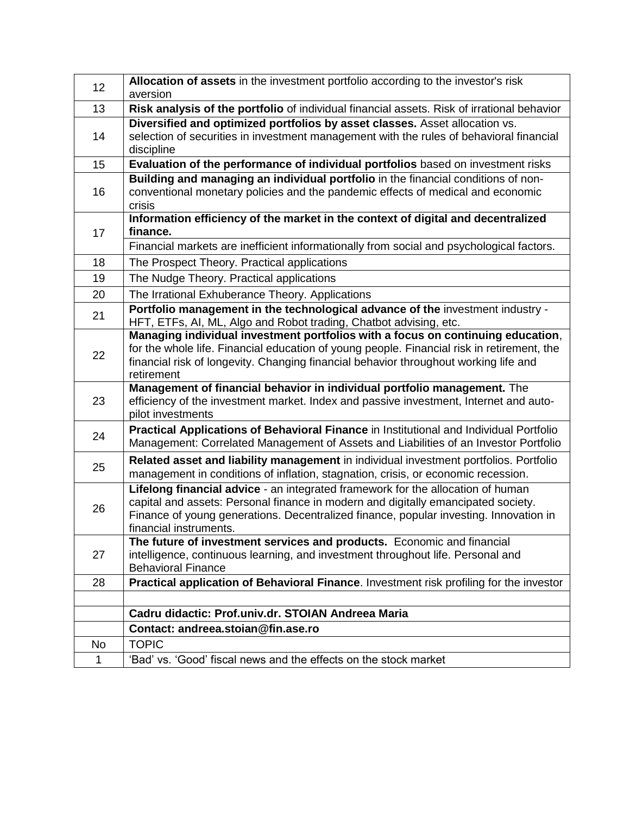| 12 | Allocation of assets in the investment portfolio according to the investor's risk                                                                                                                                                                                                       |  |
|----|-----------------------------------------------------------------------------------------------------------------------------------------------------------------------------------------------------------------------------------------------------------------------------------------|--|
|    | aversion                                                                                                                                                                                                                                                                                |  |
| 13 | Risk analysis of the portfolio of individual financial assets. Risk of irrational behavior                                                                                                                                                                                              |  |
| 14 | Diversified and optimized portfolios by asset classes. Asset allocation vs.                                                                                                                                                                                                             |  |
|    | selection of securities in investment management with the rules of behavioral financial<br>discipline                                                                                                                                                                                   |  |
| 15 | Evaluation of the performance of individual portfolios based on investment risks                                                                                                                                                                                                        |  |
| 16 | Building and managing an individual portfolio in the financial conditions of non-<br>conventional monetary policies and the pandemic effects of medical and economic<br>crisis                                                                                                          |  |
| 17 | Information efficiency of the market in the context of digital and decentralized<br>finance.                                                                                                                                                                                            |  |
|    | Financial markets are inefficient informationally from social and psychological factors.                                                                                                                                                                                                |  |
| 18 | The Prospect Theory. Practical applications                                                                                                                                                                                                                                             |  |
| 19 | The Nudge Theory. Practical applications                                                                                                                                                                                                                                                |  |
| 20 | The Irrational Exhuberance Theory. Applications                                                                                                                                                                                                                                         |  |
| 21 | Portfolio management in the technological advance of the investment industry -<br>HFT, ETFs, AI, ML, Algo and Robot trading, Chatbot advising, etc.                                                                                                                                     |  |
| 22 | Managing individual investment portfolios with a focus on continuing education,<br>for the whole life. Financial education of young people. Financial risk in retirement, the<br>financial risk of longevity. Changing financial behavior throughout working life and<br>retirement     |  |
| 23 | Management of financial behavior in individual portfolio management. The<br>efficiency of the investment market. Index and passive investment, Internet and auto-<br>pilot investments                                                                                                  |  |
| 24 | Practical Applications of Behavioral Finance in Institutional and Individual Portfolio<br>Management: Correlated Management of Assets and Liabilities of an Investor Portfolio                                                                                                          |  |
| 25 | Related asset and liability management in individual investment portfolios. Portfolio<br>management in conditions of inflation, stagnation, crisis, or economic recession.                                                                                                              |  |
| 26 | Lifelong financial advice - an integrated framework for the allocation of human<br>capital and assets: Personal finance in modern and digitally emancipated society.<br>Finance of young generations. Decentralized finance, popular investing. Innovation in<br>financial instruments. |  |
| 27 | The future of investment services and products. Economic and financial<br>intelligence, continuous learning, and investment throughout life. Personal and<br><b>Behavioral Finance</b>                                                                                                  |  |
| 28 | Practical application of Behavioral Finance. Investment risk profiling for the investor                                                                                                                                                                                                 |  |
|    |                                                                                                                                                                                                                                                                                         |  |
|    | Cadru didactic: Prof.univ.dr. STOIAN Andreea Maria                                                                                                                                                                                                                                      |  |
|    | Contact: andreea.stoian@fin.ase.ro                                                                                                                                                                                                                                                      |  |
| No | <b>TOPIC</b>                                                                                                                                                                                                                                                                            |  |
| 1  | 'Bad' vs. 'Good' fiscal news and the effects on the stock market                                                                                                                                                                                                                        |  |